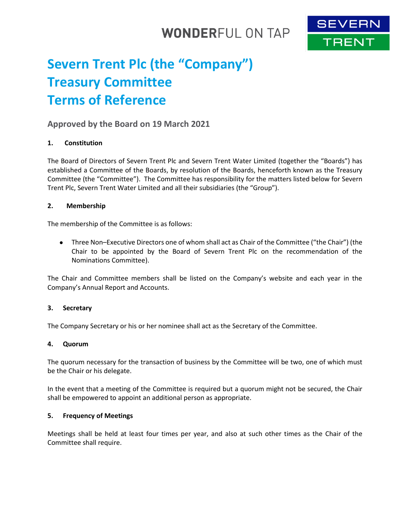## **WONDERFUL ON TAP**



# **Severn Trent Plc (the "Company") Treasury Committee Terms of Reference**

## **Approved by the Board on 19 March 2021**

## **1. Constitution**

The Board of Directors of Severn Trent Plc and Severn Trent Water Limited (together the "Boards") has established a Committee of the Boards, by resolution of the Boards, henceforth known as the Treasury Committee (the "Committee"). The Committee has responsibility for the matters listed below for Severn Trent Plc, Severn Trent Water Limited and all their subsidiaries (the "Group").

## **2. Membership**

The membership of the Committee is as follows:

 Three Non–Executive Directors one of whom shall act as Chair of the Committee ("the Chair") (the Chair to be appointed by the Board of Severn Trent Plc on the recommendation of the Nominations Committee).

The Chair and Committee members shall be listed on the Company's website and each year in the Company's Annual Report and Accounts.

## **3. Secretary**

The Company Secretary or his or her nominee shall act as the Secretary of the Committee.

#### **4. Quorum**

The quorum necessary for the transaction of business by the Committee will be two, one of which must be the Chair or his delegate.

In the event that a meeting of the Committee is required but a quorum might not be secured, the Chair shall be empowered to appoint an additional person as appropriate.

#### **5. Frequency of Meetings**

Meetings shall be held at least four times per year, and also at such other times as the Chair of the Committee shall require.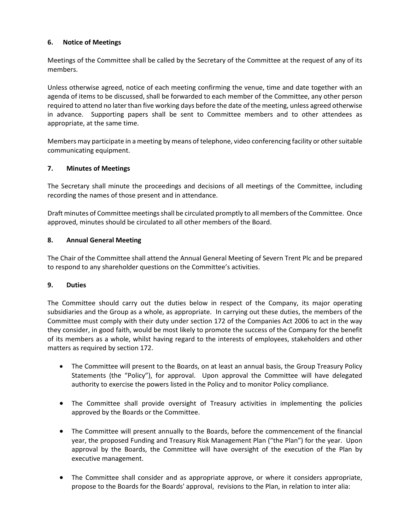## **6. Notice of Meetings**

Meetings of the Committee shall be called by the Secretary of the Committee at the request of any of its members.

Unless otherwise agreed, notice of each meeting confirming the venue, time and date together with an agenda of items to be discussed, shall be forwarded to each member of the Committee, any other person required to attend no later than five working days before the date of the meeting, unless agreed otherwise in advance. Supporting papers shall be sent to Committee members and to other attendees as appropriate, at the same time.

Members may participate in a meeting by means of telephone, video conferencing facility or other suitable communicating equipment.

## **7. Minutes of Meetings**

The Secretary shall minute the proceedings and decisions of all meetings of the Committee, including recording the names of those present and in attendance.

Draft minutes of Committee meetings shall be circulated promptly to all members of the Committee. Once approved, minutes should be circulated to all other members of the Board.

### **8. Annual General Meeting**

The Chair of the Committee shall attend the Annual General Meeting of Severn Trent Plc and be prepared to respond to any shareholder questions on the Committee's activities.

## **9. Duties**

The Committee should carry out the duties below in respect of the Company, its major operating subsidiaries and the Group as a whole, as appropriate. In carrying out these duties, the members of the Committee must comply with their duty under section 172 of the Companies Act 2006 to act in the way they consider, in good faith, would be most likely to promote the success of the Company for the benefit of its members as a whole, whilst having regard to the interests of employees, stakeholders and other matters as required by section 172.

- The Committee will present to the Boards, on at least an annual basis, the Group Treasury Policy Statements (the "Policy"), for approval. Upon approval the Committee will have delegated authority to exercise the powers listed in the Policy and to monitor Policy compliance.
- The Committee shall provide oversight of Treasury activities in implementing the policies approved by the Boards or the Committee.
- The Committee will present annually to the Boards, before the commencement of the financial year, the proposed Funding and Treasury Risk Management Plan ("the Plan") for the year. Upon approval by the Boards, the Committee will have oversight of the execution of the Plan by executive management.
- The Committee shall consider and as appropriate approve, or where it considers appropriate, propose to the Boards for the Boards' approval, revisions to the Plan, in relation to inter alia: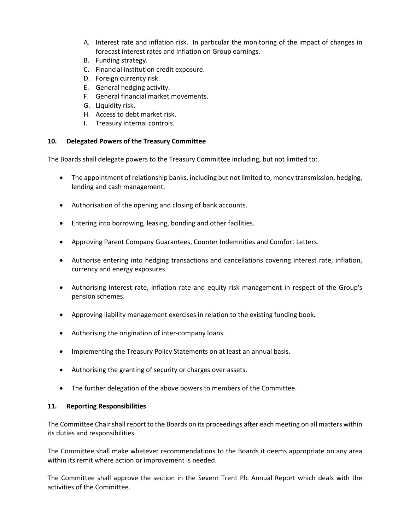- A. Interest rate and inflation risk. In particular the monitoring of the impact of changes in forecast interest rates and inflation on Group earnings.
- B. Funding strategy.
- C. Financial institution credit exposure.
- D. Foreign currency risk.
- E. General hedging activity.
- F. General financial market movements.
- G. Liquidity risk.
- H. Access to debt market risk.
- I. Treasury internal controls.

## **10. Delegated Powers of the Treasury Committee**

The Boards shall delegate powers to the Treasury Committee including, but not limited to:

- The appointment of relationship banks, including but not limited to, money transmission, hedging, lending and cash management.
- Authorisation of the opening and closing of bank accounts.
- Entering into borrowing, leasing, bonding and other facilities.
- Approving Parent Company Guarantees, Counter Indemnities and Comfort Letters.
- Authorise entering into hedging transactions and cancellations covering interest rate, inflation, currency and energy exposures.
- Authorising interest rate, inflation rate and equity risk management in respect of the Group's pension schemes.
- Approving liability management exercises in relation to the existing funding book.
- Authorising the origination of inter-company loans.
- Implementing the Treasury Policy Statements on at least an annual basis.
- Authorising the granting of security or charges over assets.
- The further delegation of the above powers to members of the Committee.

## **11. Reporting Responsibilities**

The Committee Chair shall report to the Boards on its proceedings after each meeting on all matters within its duties and responsibilities.

The Committee shall make whatever recommendations to the Boards it deems appropriate on any area within its remit where action or improvement is needed.

The Committee shall approve the section in the Severn Trent Plc Annual Report which deals with the activities of the Committee.